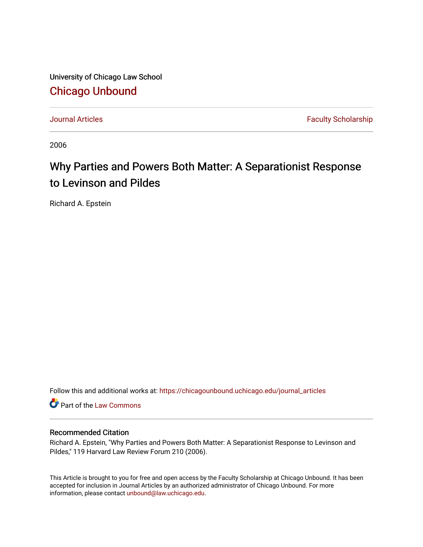University of Chicago Law School [Chicago Unbound](https://chicagounbound.uchicago.edu/)

[Journal Articles](https://chicagounbound.uchicago.edu/journal_articles) **Faculty Scholarship Faculty Scholarship** 

2006

# Why Parties and Powers Both Matter: A Separationist Response to Levinson and Pildes

Richard A. Epstein

Follow this and additional works at: [https://chicagounbound.uchicago.edu/journal\\_articles](https://chicagounbound.uchicago.edu/journal_articles?utm_source=chicagounbound.uchicago.edu%2Fjournal_articles%2F6967&utm_medium=PDF&utm_campaign=PDFCoverPages) 

Part of the [Law Commons](http://network.bepress.com/hgg/discipline/578?utm_source=chicagounbound.uchicago.edu%2Fjournal_articles%2F6967&utm_medium=PDF&utm_campaign=PDFCoverPages)

## Recommended Citation

Richard A. Epstein, "Why Parties and Powers Both Matter: A Separationist Response to Levinson and Pildes," 119 Harvard Law Review Forum 210 (2006).

This Article is brought to you for free and open access by the Faculty Scholarship at Chicago Unbound. It has been accepted for inclusion in Journal Articles by an authorized administrator of Chicago Unbound. For more information, please contact [unbound@law.uchicago.edu](mailto:unbound@law.uchicago.edu).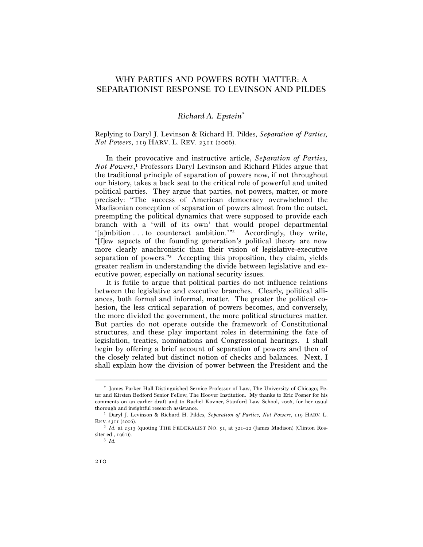# WHY PARTIES AND POWERS BOTH MATTER: A SEPARATIONIST RESPONSE TO LEVINSON AND PILDES

### *Richard A. Epstein\**

Replying to Daryl J. Levinson & Richard H. Pildes, *Separation of Parties, Not Powers*, 119 HARV. L. REV. 2311 (2006).

In their provocative and instructive article, *Separation of Parties, Not Powers*, 1 Professors Daryl Levinson and Richard Pildes argue that the traditional principle of separation of powers now, if not throughout our history, takes a back seat to the critical role of powerful and united political parties. They argue that parties, not powers, matter, or more precisely: "The success of American democracy overwhelmed the Madisonian conception of separation of powers almost from the outset, preempting the political dynamics that were supposed to provide each branch with a 'will of its own' that would propel departmental '[a]mbition . . . to counteract ambition.'"<sup>2</sup> Accordingly, they write, "[f]ew aspects of the founding generation's political theory are now more clearly anachronistic than their vision of legislative-executive separation of powers."3 Accepting this proposition, they claim, yields greater realism in understanding the divide between legislative and executive power, especially on national security issues.

It is futile to argue that political parties do not influence relations between the legislative and executive branches. Clearly, political alliances, both formal and informal, matter. The greater the political cohesion, the less critical separation of powers becomes, and conversely, the more divided the government, the more political structures matter. But parties do not operate outside the framework of Constitutional structures, and these play important roles in determining the fate of legislation, treaties, nominations and Congressional hearings. I shall begin by offering a brief account of separation of powers and then of the closely related but distinct notion of checks and balances. Next, I shall explain how the division of power between the President and the

<sup>\*</sup> James Parker Hall Distinguished Service Professor of Law, The University of Chicago; Peter and Kirsten Bedford Senior Fellow, The Hoover Institution. My thanks to Eric Posner for his comments on an earlier draft and to Rachel Kovner, Stanford Law School, 2006, for her usual thorough and insightful research assistance. 1 Daryl J. Levinson & Richard H. Pildes, *Separation of Parties, Not Powers*, 119 HARV. L.

REV. 2311 (2006).<br><sup>2</sup> *Id.* at 2313 (quoting THE FEDERALIST NO. 51, at 321–22 (James Madison) (Clinton Ros-

siter ed., 1961)). 3 *Id.*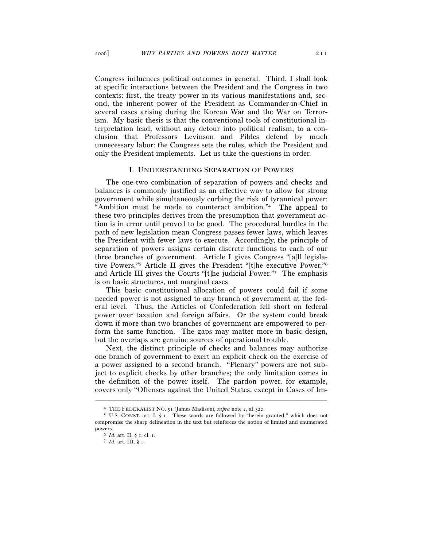Congress influences political outcomes in general. Third, I shall look at specific interactions between the President and the Congress in two contexts: first, the treaty power in its various manifestations and, second, the inherent power of the President as Commander-in-Chief in several cases arising during the Korean War and the War on Terrorism. My basic thesis is that the conventional tools of constitutional interpretation lead, without any detour into political realism, to a conclusion that Professors Levinson and Pildes defend by much unnecessary labor: the Congress sets the rules, which the President and only the President implements. Let us take the questions in order.

#### I. UNDERSTANDING SEPARATION OF POWERS

The one-two combination of separation of powers and checks and balances is commonly justified as an effective way to allow for strong government while simultaneously curbing the risk of tyrannical power: "Ambition must be made to counteract ambition."4 The appeal to these two principles derives from the presumption that government action is in error until proved to be good. The procedural hurdles in the path of new legislation mean Congress passes fewer laws, which leaves the President with fewer laws to execute. Accordingly, the principle of separation of powers assigns certain discrete functions to each of our three branches of government. Article I gives Congress "[a]ll legislative Powers,"5 Article II gives the President "[t]he executive Power,"6 and Article III gives the Courts "[t]he judicial Power."7 The emphasis is on basic structures, not marginal cases.

This basic constitutional allocation of powers could fail if some needed power is not assigned to any branch of government at the federal level. Thus, the Articles of Confederation fell short on federal power over taxation and foreign affairs. Or the system could break down if more than two branches of government are empowered to perform the same function. The gaps may matter more in basic design, but the overlaps are genuine sources of operational trouble.

Next, the distinct principle of checks and balances may authorize one branch of government to exert an explicit check on the exercise of a power assigned to a second branch. "Plenary" powers are not subject to explicit checks by other branches; the only limitation comes in the definition of the power itself. The pardon power, for example, covers only "Offenses against the United States, except in Cases of Im-

<sup>4</sup> THE FEDERALIST NO. <sup>51</sup> (James Madison), *supra* note 2, at 322. 5 U.S. CONST. art. I, § 1. These words are followed by "herein granted," which does not compromise the sharp delineation in the text but reinforces the notion of limited and enumerated powers. 6 *Id.* art. II, § 1, cl. 1. 7 *Id.* art. III, § 1.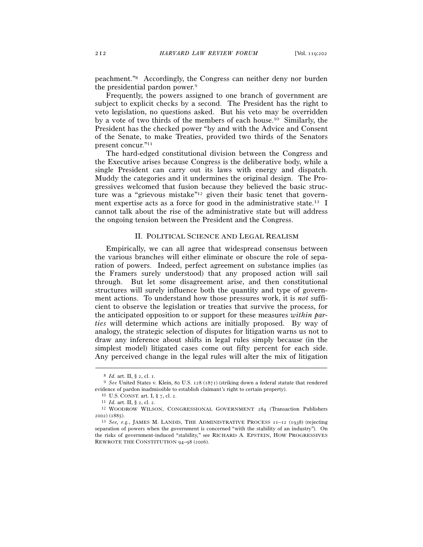peachment."8 Accordingly, the Congress can neither deny nor burden the presidential pardon power.9

Frequently, the powers assigned to one branch of government are subject to explicit checks by a second. The President has the right to veto legislation, no questions asked. But his veto may be overridden by a vote of two thirds of the members of each house.10 Similarly, the President has the checked power "by and with the Advice and Consent of the Senate, to make Treaties, provided two thirds of the Senators present concur."11

The hard-edged constitutional division between the Congress and the Executive arises because Congress is the deliberative body, while a single President can carry out its laws with energy and dispatch. Muddy the categories and it undermines the original design. The Progressives welcomed that fusion because they believed the basic structure was a "grievous mistake"12 given their basic tenet that government expertise acts as a force for good in the administrative state.13 I cannot talk about the rise of the administrative state but will address the ongoing tension between the President and the Congress.

#### II. POLITICAL SCIENCE AND LEGAL REALISM

Empirically, we can all agree that widespread consensus between the various branches will either eliminate or obscure the role of separation of powers. Indeed, perfect agreement on substance implies (as the Framers surely understood) that any proposed action will sail through. But let some disagreement arise, and then constitutional structures will surely influence both the quantity and type of government actions. To understand how those pressures work, it is *not* sufficient to observe the legislation or treaties that survive the process, for the anticipated opposition to or support for these measures *within parties* will determine which actions are initially proposed. By way of analogy, the strategic selection of disputes for litigation warns us not to draw any inference about shifts in legal rules simply because (in the simplest model) litigated cases come out fifty percent for each side. Any perceived change in the legal rules will alter the mix of litigation

<sup>8</sup> *Id.* art. II, § 2, cl. 1. 9 *See* United States v. Klein, 80 U.S. 128 (1871) (striking down a federal statute that rendered evidence of pardon inadmissible to establish claimant's right to certain property).<br>
<sup>10</sup> U.S. CONST. art. I, § 7, cl. 2.<br>
<sup>11</sup> *Id.* art. II, § 2, cl. 2.<br>
<sup>12</sup> WOODROW WILSON, CONGRESSIONAL GOVERNMENT 284 (Transaction Pub

<sup>2002</sup>) (1885). 13 *See, e.g.*, JAMES M. LANDIS, THE ADMINISTRATIVE PROCESS <sup>11</sup>–12 (1938) (rejecting

separation of powers when the government is concerned "with the stability of an industry"). On the risks of government-induced "stability," see RICHARD A. EPSTEIN, HOW PROGRESSIVES REWROTE THE CONSTITUTION 94–98 (2006).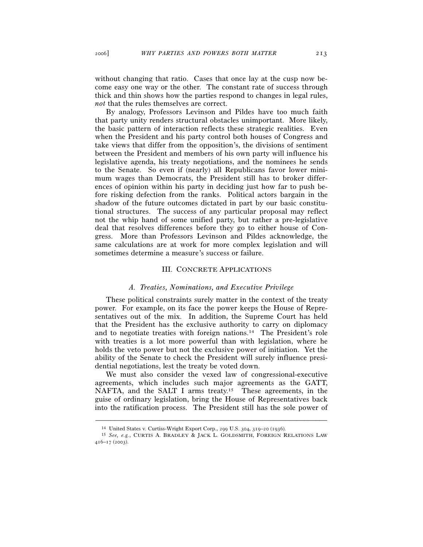without changing that ratio. Cases that once lay at the cusp now become easy one way or the other. The constant rate of success through thick and thin shows how the parties respond to changes in legal rules, *not* that the rules themselves are correct.

By analogy, Professors Levinson and Pildes have too much faith that party unity renders structural obstacles unimportant. More likely, the basic pattern of interaction reflects these strategic realities. Even when the President and his party control both houses of Congress and take views that differ from the opposition's, the divisions of sentiment between the President and members of his own party will influence his legislative agenda, his treaty negotiations, and the nominees he sends to the Senate. So even if (nearly) all Republicans favor lower minimum wages than Democrats, the President still has to broker differences of opinion within his party in deciding just how far to push before risking defection from the ranks. Political actors bargain in the shadow of the future outcomes dictated in part by our basic constitutional structures. The success of any particular proposal may reflect not the whip hand of some unified party, but rather a pre-legislative deal that resolves differences before they go to either house of Congress. More than Professors Levinson and Pildes acknowledge, the same calculations are at work for more complex legislation and will sometimes determine a measure's success or failure.

#### III. CONCRETE APPLICATIONS

#### *A. Treaties, Nominations, and Executive Privilege*

These political constraints surely matter in the context of the treaty power. For example, on its face the power keeps the House of Representatives out of the mix. In addition, the Supreme Court has held that the President has the exclusive authority to carry on diplomacy and to negotiate treaties with foreign nations.14 The President's role with treaties is a lot more powerful than with legislation, where he holds the veto power but not the exclusive power of initiation. Yet the ability of the Senate to check the President will surely influence presidential negotiations, lest the treaty be voted down.

We must also consider the vexed law of congressional-executive agreements, which includes such major agreements as the GATT, NAFTA, and the SALT I arms treaty.<sup>15</sup> These agreements, in the guise of ordinary legislation, bring the House of Representatives back into the ratification process. The President still has the sole power of

<sup>14</sup> United States v. Curtiss-Wright Export Corp., 299 U.S. 304, 319–20 (1936). 15 *See, e.g.*, CURTIS A. BRADLEY & JACK L. GOLDSMITH, FOREIGN RELATIONS LAW 416–17 (2003).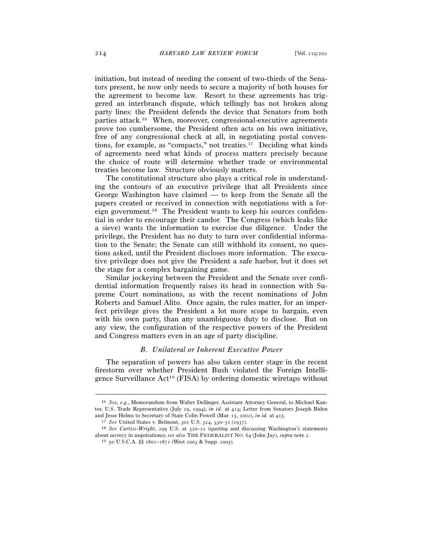initiation, but instead of needing the consent of two-thirds of the Senators present, he now only needs to secure a majority of both houses for the agreement to become law. Resort to these agreements has triggered an interbranch dispute, which tellingly has not broken along party lines: the President defends the device that Senators from both parties attack.16 When, moreover, congressional-executive agreements prove too cumbersome, the President often acts on his own initiative, free of any congressional check at all, in negotiating postal conventions, for example, as "compacts," not treaties.17 Deciding what kinds of agreements need what kinds of process matters precisely because the choice of route will determine whether trade or environmental treaties become law. Structure obviously matters.

The constitutional structure also plays a critical role in understanding the contours of an executive privilege that all Presidents since George Washington have claimed — to keep from the Senate all the papers created or received in connection with negotiations with a foreign government.18 The President wants to keep his sources confidential in order to encourage their candor. The Congress (which leaks like a sieve) wants the information to exercise due diligence. Under the privilege, the President has no duty to turn over confidential information to the Senate; the Senate can still withhold its consent, no questions asked, until the President discloses more information. The executive privilege does not give the President a safe harbor, but it does set the stage for a complex bargaining game.

Similar jockeying between the President and the Senate over confidential information frequently raises its head in connection with Supreme Court nominations, as with the recent nominations of John Roberts and Samuel Alito. Once again, the rules matter, for an imperfect privilege gives the President a lot more scope to bargain, even with his own party, than any unambiguous duty to disclose. But on any view, the configuration of the respective powers of the President and Congress matters even in an age of party discipline.

#### *B. Unilateral or Inherent Executive Power*

The separation of powers has also taken center stage in the recent firestorm over whether President Bush violated the Foreign Intelligence Surveillance Act19 (FISA) by ordering domestic wiretaps without

<sup>16</sup> *See, e.g.*, Memorandum from Walter Dellinger, Assistant Attorney General, to Michael Kantor, U.S. Trade Representative (July 29, 1994), *in id.* at 414; Letter from Senators Joseph Biden and Jesse Helms to Secretary of State Colin Powell (Mar. 15, 2002), *in id.* at 415.<br><sup>17</sup> See United States v. Belmont, 301 U.S. 324, 330–31 (1937).<br><sup>18</sup> See Curtiss-Wright, 299 U.S. at 320–21 (quoting and discussing Washi

about secrecy in negotiations); *see also* THE FEDERALIST NO. <sup>64</sup> (John Jay), *supra* note 2. 19 <sup>50</sup> U.S.C.A. §§ 1801–1871 (West 2003 & Supp. 2005).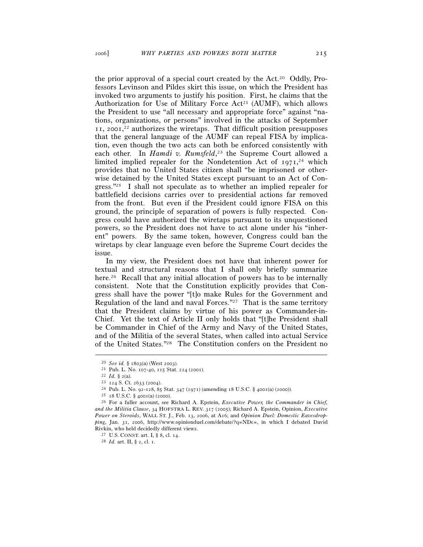the prior approval of a special court created by the Act.20 Oddly, Professors Levinson and Pildes skirt this issue, on which the President has invoked two arguments to justify his position. First, he claims that the Authorization for Use of Military Force  $Act^{21}$  (AUMF), which allows the President to use "all necessary and appropriate force" against "nations, organizations, or persons" involved in the attacks of September 11, 2001, 22 authorizes the wiretaps. That difficult position presupposes that the general language of the AUMF can repeal FISA by implication, even though the two acts can both be enforced consistently with each other. In *Hamdi v. Rumsfeld*, 23 the Supreme Court allowed a limited implied repealer for the Nondetention Act of 1971,<sup>24</sup> which provides that no United States citizen shall "be imprisoned or otherwise detained by the United States except pursuant to an Act of Congress."25 I shall not speculate as to whether an implied repealer for battlefield decisions carries over to presidential actions far removed from the front. But even if the President could ignore FISA on this ground, the principle of separation of powers is fully respected. Congress could have authorized the wiretaps pursuant to its unquestioned powers, so the President does not have to act alone under his "inherent" powers. By the same token, however, Congress could ban the wiretaps by clear language even before the Supreme Court decides the issue.

In my view, the President does not have that inherent power for textual and structural reasons that I shall only briefly summarize here.<sup>26</sup> Recall that any initial allocation of powers has to be internally consistent. Note that the Constitution explicitly provides that Congress shall have the power "[t]o make Rules for the Government and Regulation of the land and naval Forces."27 That is the same territory that the President claims by virtue of his power as Commander-in-Chief. Yet the text of Article II only holds that "[t]he President shall be Commander in Chief of the Army and Navy of the United States, and of the Militia of the several States, when called into actual Service of the United States."28 The Constitution confers on the President no

<sup>&</sup>lt;sup>20</sup> *See id.* § 1803(a) (West 2003).<br>
<sup>21</sup> Pub. L. No. 107-40, 115 Stat. 224 (2001).<br>
<sup>22</sup> *Id.* § 2(a).<br>
<sup>23</sup> 124 S. Ct. 2633 (2004).<br>
<sup>24</sup> Pub. L. No. 92-128, 85 Stat. 347 (1971) (amending 18 U.S.C. § 4001(a) (2000)).<br> *and the Militia Clause*, 34 HOFSTRA L. REV. 317 (2005); Richard A. Epstein, Opinion, *Executive Power on Steroids*, WALL ST. J., Feb. 13, 2006, at A16; and *Opinion Duel: Domestic Eavesdropping*, Jan. 31, 2006, http://www.opinionduel.com/debate/?q=NDc=, in which I debated David Rivkin, who held decidedly different views.

<sup>27</sup> U.S. CONST. art. I, § 8, cl. 14. 28 *Id.* art. II, § 2, cl. 1.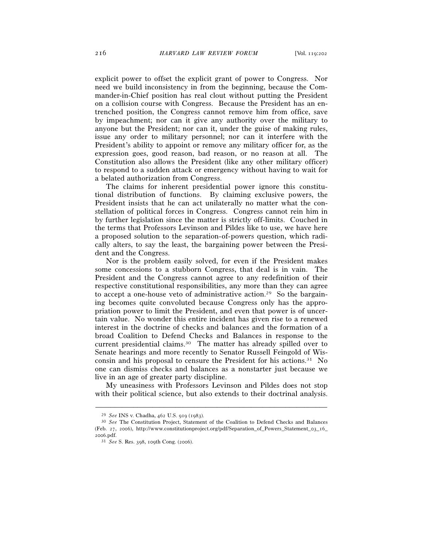explicit power to offset the explicit grant of power to Congress. Nor need we build inconsistency in from the beginning, because the Commander-in-Chief position has real clout without putting the President on a collision course with Congress. Because the President has an entrenched position, the Congress cannot remove him from office, save by impeachment; nor can it give any authority over the military to anyone but the President; nor can it, under the guise of making rules, issue any order to military personnel; nor can it interfere with the President's ability to appoint or remove any military officer for, as the expression goes, good reason, bad reason, or no reason at all. The Constitution also allows the President (like any other military officer) to respond to a sudden attack or emergency without having to wait for a belated authorization from Congress.

The claims for inherent presidential power ignore this constitutional distribution of functions. By claiming exclusive powers, the President insists that he can act unilaterally no matter what the constellation of political forces in Congress. Congress cannot rein him in by further legislation since the matter is strictly off-limits. Couched in the terms that Professors Levinson and Pildes like to use, we have here a proposed solution to the separation-of-powers question, which radically alters, to say the least, the bargaining power between the President and the Congress.

Nor is the problem easily solved, for even if the President makes some concessions to a stubborn Congress, that deal is in vain. The President and the Congress cannot agree to any redefinition of their respective constitutional responsibilities, any more than they can agree to accept a one-house veto of administrative action.29 So the bargaining becomes quite convoluted because Congress only has the appropriation power to limit the President, and even that power is of uncertain value. No wonder this entire incident has given rise to a renewed interest in the doctrine of checks and balances and the formation of a broad Coalition to Defend Checks and Balances in response to the current presidential claims.30 The matter has already spilled over to Senate hearings and more recently to Senator Russell Feingold of Wisconsin and his proposal to censure the President for his actions.31 No one can dismiss checks and balances as a nonstarter just because we live in an age of greater party discipline.

My uneasiness with Professors Levinson and Pildes does not stop with their political science, but also extends to their doctrinal analysis.

<sup>29</sup> *See* INS v. Chadha, 462 U.S. 919 (1983). 30 *See* The Constitution Project, Statement of the Coalition to Defend Checks and Balances (Feb. 27, 2006), http://www.constitutionproject.org/pdf/Separation\_of\_Powers\_Statement\_03\_16\_ 2006.pdf.

<sup>31</sup> *See* S. Res. 398, 109th Cong. (2006).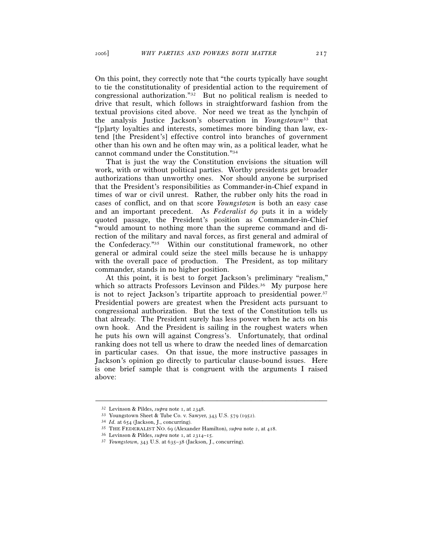On this point, they correctly note that "the courts typically have sought to tie the constitutionality of presidential action to the requirement of congressional authorization."32 But no political realism is needed to drive that result, which follows in straightforward fashion from the textual provisions cited above. Nor need we treat as the lynchpin of the analysis Justice Jackson's observation in *Youngstown*<sup>33</sup> that "[p]arty loyalties and interests, sometimes more binding than law, extend [the President's] effective control into branches of government other than his own and he often may win, as a political leader, what he cannot command under the Constitution."34

That is just the way the Constitution envisions the situation will work, with or without political parties. Worthy presidents get broader authorizations than unworthy ones. Nor should anyone be surprised that the President's responsibilities as Commander-in-Chief expand in times of war or civil unrest. Rather, the rubber only hits the road in cases of conflict, and on that score *Youngstown* is both an easy case and an important precedent. As *Federalist 69* puts it in a widely quoted passage, the President's position as Commander-in-Chief "would amount to nothing more than the supreme command and direction of the military and naval forces, as first general and admiral of the Confederacy."35 Within our constitutional framework, no other general or admiral could seize the steel mills because he is unhappy with the overall pace of production. The President, as top military commander, stands in no higher position.

At this point, it is best to forget Jackson's preliminary "realism," which so attracts Professors Levinson and Pildes.<sup>36</sup> My purpose here is not to reject Jackson's tripartite approach to presidential power.<sup>37</sup> Presidential powers are greatest when the President acts pursuant to congressional authorization. But the text of the Constitution tells us that already. The President surely has less power when he acts on his own hook. And the President is sailing in the roughest waters when he puts his own will against Congress's. Unfortunately, that ordinal ranking does not tell us where to draw the needed lines of demarcation in particular cases. On that issue, the more instructive passages in Jackson's opinion go directly to particular clause-bound issues. Here is one brief sample that is congruent with the arguments I raised above:

<sup>&</sup>lt;sup>32</sup> Levinson & Pildes, *supra* note 1, at 2348.<br><sup>33</sup> Youngstown Sheet & Tube Co. v. Sawyer, 343 U.S. 579 (1952).<br><sup>34</sup> Id. at 654 (Jackson, J., concurring).<br><sup>35</sup> THE FEDERALIST NO. 69 (Alexander Hamilton), *supra* note 2,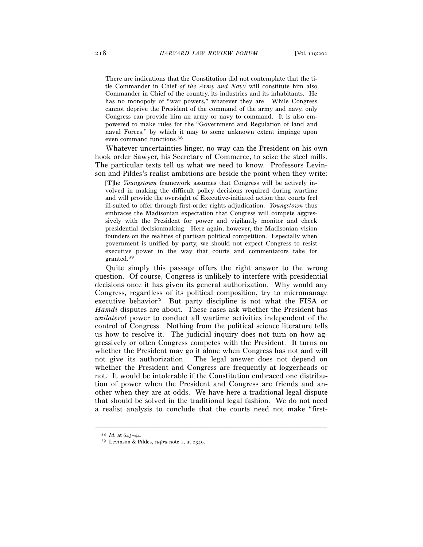There are indications that the Constitution did not contemplate that the title Commander in Chief *of the Army and Navy* will constitute him also Commander in Chief of the country, its industries and its inhabitants. He has no monopoly of "war powers," whatever they are. While Congress cannot deprive the President of the command of the army and navy, only Congress can provide him an army or navy to command. It is also empowered to make rules for the "Government and Regulation of land and naval Forces," by which it may to some unknown extent impinge upon even command functions.38

Whatever uncertainties linger, no way can the President on his own hook order Sawyer, his Secretary of Commerce, to seize the steel mills. The particular texts tell us what we need to know. Professors Levinson and Pildes's realist ambitions are beside the point when they write:

[T]he *Youngstown* framework assumes that Congress will be actively involved in making the difficult policy decisions required during wartime and will provide the oversight of Executive-initiated action that courts feel ill-suited to offer through first-order rights adjudication. *Youngstown* thus embraces the Madisonian expectation that Congress will compete aggressively with the President for power and vigilantly monitor and check presidential decisionmaking. Here again, however, the Madisonian vision founders on the realities of partisan political competition. Especially when government is unified by party, we should not expect Congress to resist executive power in the way that courts and commentators take for granted.39

Quite simply this passage offers the right answer to the wrong question. Of course, Congress is unlikely to interfere with presidential decisions once it has given its general authorization. Why would any Congress, regardless of its political composition, try to micromanage executive behavior? But party discipline is not what the FISA or *Hamdi* disputes are about. These cases ask whether the President has *unilateral* power to conduct all wartime activities independent of the control of Congress. Nothing from the political science literature tells us how to resolve it. The judicial inquiry does not turn on how aggressively or often Congress competes with the President. It turns on whether the President may go it alone when Congress has not and will not give its authorization. The legal answer does not depend on whether the President and Congress are frequently at loggerheads or not. It would be intolerable if the Constitution embraced one distribution of power when the President and Congress are friends and another when they are at odds. We have here a traditional legal dispute that should be solved in the traditional legal fashion. We do not need a realist analysis to conclude that the courts need not make "first-

<sup>38</sup> *Id.* at 643–44. 39 Levinson & Pildes, *supra* note 1, at 2349.